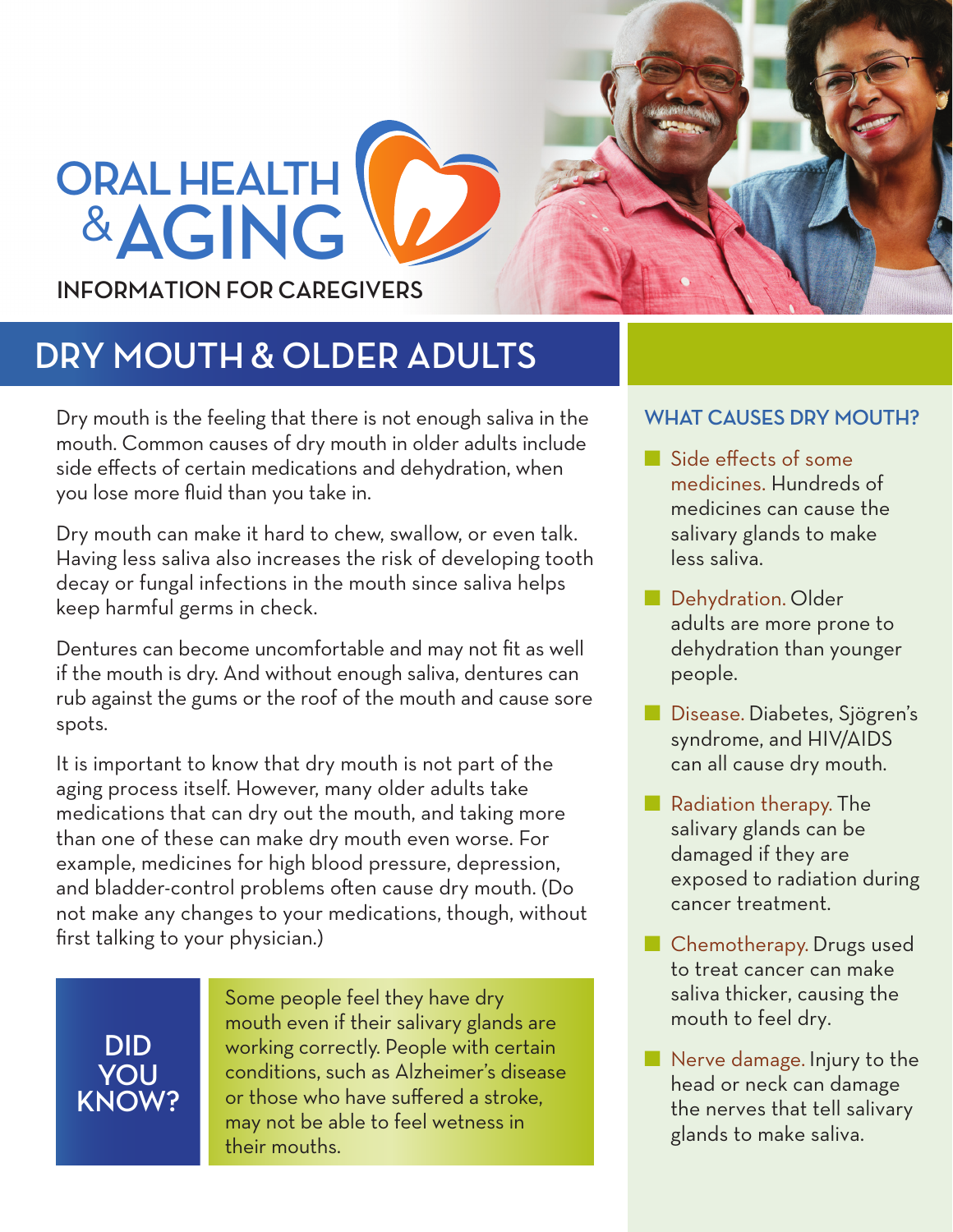# **ORAL HEALTH** &**AGING INFORMATION FOR CAREGIVERS**

## **DRY MOUTH & OLDER ADULTS**

Dry mouth is the feeling that there is not enough saliva in the mouth. Common causes of dry mouth in older adults include side effects of certain medications and dehydration, when you lose more fluid than you take in.

Dry mouth can make it hard to chew, swallow, or even talk. Having less saliva also increases the risk of developing tooth decay or fungal infections in the mouth since saliva helps keep harmful germs in check.

Dentures can become uncomfortable and may not fit as well if the mouth is dry. And without enough saliva, dentures can rub against the gums or the roof of the mouth and cause sore spots.

It is important to know that dry mouth is not part of the aging process itself. However, many older adults take medications that can dry out the mouth, and taking more than one of these can make dry mouth even worse. For example, medicines for high blood pressure, depression, and bladder-control problems often cause dry mouth. (Do not make any changes to your medications, though, without first talking to your physician.)

**DID YOU KNOW?**  Some people feel they have dry mouth even if their salivary glands are working correctly. People with certain conditions, such as Alzheimer's disease or those who have suffered a stroke, may not be able to feel wetness in their mouths.

### **WHAT CAUSES DRY MOUTH?**

- Side effects of some medicines. Hundreds of medicines can cause the salivary glands to make less saliva.
- Dehydration. Older adults are more prone to dehydration than younger people.
- Disease. Diabetes, Sjögren's syndrome, and HIV/AIDS can all cause dry mouth.
- Radiation therapy. The salivary glands can be damaged if they are exposed to radiation during cancer treatment.
- Chemotherapy. Drugs used to treat cancer can make saliva thicker, causing the mouth to feel dry.
- Nerve damage. Injury to the head or neck can damage the nerves that tell salivary glands to make saliva.